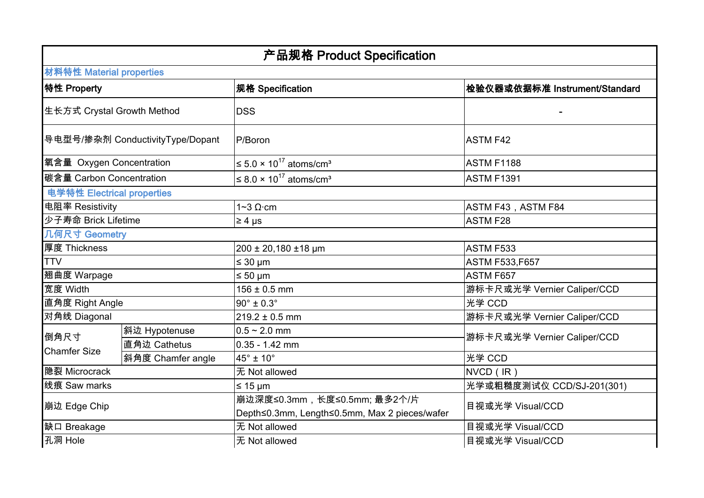| 产品规格 Product Specification       |                   |                                                                               |                               |  |  |
|----------------------------------|-------------------|-------------------------------------------------------------------------------|-------------------------------|--|--|
| 材料特性 Material properties         |                   |                                                                               |                               |  |  |
| 特性 Property                      |                   | 规格 Specification                                                              | 检验仪器或依据标准 Instrument/Standard |  |  |
| 生长方式 Crystal Growth Method       |                   | <b>DSS</b>                                                                    |                               |  |  |
| 导电型号/掺杂剂 ConductivityType/Dopant |                   | P/Boron                                                                       | <b>ASTM F42</b>               |  |  |
| 氧含量 Oxygen Concentration         |                   | $\leq 5.0 \times 10^{17}$ atoms/cm <sup>3</sup>                               | <b>ASTM F1188</b>             |  |  |
| 碳含量 Carbon Concentration         |                   | $\leq$ 8.0 × 10 <sup>17</sup> atoms/cm <sup>3</sup>                           | <b>ASTM F1391</b>             |  |  |
| 电学特性 Electrical properties       |                   |                                                                               |                               |  |  |
| 电阻率 Resistivity                  |                   | $1 - 3 \Omega$ cm                                                             | ASTM F43, ASTM F84            |  |  |
| 少子寿命 Brick Lifetime              |                   | $\geq 4$ µs                                                                   | <b>ASTM F28</b>               |  |  |
| 几何尺寸 Geometry                    |                   |                                                                               |                               |  |  |
| 厚度 Thickness                     |                   | 200 ± 20,180 ±18 µm                                                           | ASTM F533                     |  |  |
| <b>TTV</b>                       |                   | $≤ 30 \mu m$                                                                  | <b>ASTM F533,F657</b>         |  |  |
| 翘曲度 Warpage                      |                   | $\leq 50 \text{ }\mu\text{m}$                                                 | ASTM F657                     |  |  |
| 宽度 Width                         |                   | $156 \pm 0.5$ mm                                                              | 游标卡尺或光学 Vernier Caliper/CCD   |  |  |
| 直角度 Right Angle                  |                   | $90^\circ \pm 0.3^\circ$                                                      | 光学 CCD                        |  |  |
| 对角线 Diagonal                     |                   | $219.2 \pm 0.5$ mm                                                            | 游标卡尺或光学 Vernier Caliper/CCD   |  |  |
| 倒角尺寸<br><b>Chamfer Size</b>      | 斜边 Hypotenuse     | $0.5 - 2.0$ mm                                                                | 游标卡尺或光学 Vernier Caliper/CCD   |  |  |
|                                  | 直角边 Cathetus      | 0.35 - 1.42 mm                                                                |                               |  |  |
|                                  | 斜角度 Chamfer angle | $45^\circ \pm 10^\circ$                                                       | 光学 CCD                        |  |  |
| 隐裂 Microcrack                    |                   | 无 Not allowed                                                                 | NVCD (IR)                     |  |  |
| 线痕 Saw marks                     |                   | $≤ 15 \mu m$                                                                  | 光学或粗糙度测试仪 CCD/SJ-201(301)     |  |  |
| 崩边 Edge Chip                     |                   | 崩边深度≤0.3mm, 长度≤0.5mm; 最多2个/片<br>Depth≤0.3mm, Length≤0.5mm, Max 2 pieces/wafer | 目视或光学 Visual/CCD              |  |  |
| 缺口 Breakage                      |                   | 无 Not allowed                                                                 | 目视或光学 Visual/CCD              |  |  |
| 孔洞 Hole                          |                   | 无 Not allowed                                                                 | 目视或光学 Visual/CCD              |  |  |